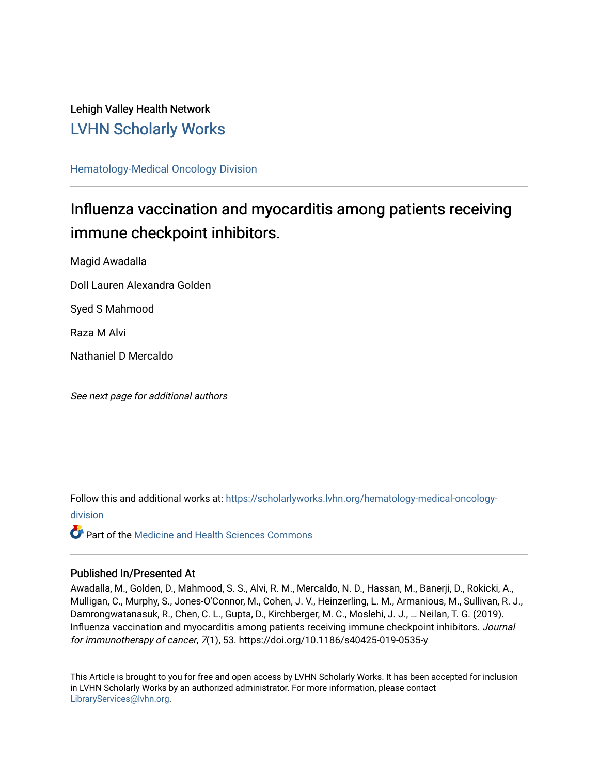Lehigh Valley Health Network [LVHN Scholarly Works](https://scholarlyworks.lvhn.org/)

[Hematology-Medical Oncology Division](https://scholarlyworks.lvhn.org/hematology-medical-oncology-division)

## Influenza vaccination and myocarditis among patients receiving immune checkpoint inhibitors.

Magid Awadalla

Doll Lauren Alexandra Golden

Syed S Mahmood

Raza M Alvi

Nathaniel D Mercaldo

See next page for additional authors

Follow this and additional works at: [https://scholarlyworks.lvhn.org/hematology-medical-oncology](https://scholarlyworks.lvhn.org/hematology-medical-oncology-division?utm_source=scholarlyworks.lvhn.org%2Fhematology-medical-oncology-division%2F13&utm_medium=PDF&utm_campaign=PDFCoverPages)[division](https://scholarlyworks.lvhn.org/hematology-medical-oncology-division?utm_source=scholarlyworks.lvhn.org%2Fhematology-medical-oncology-division%2F13&utm_medium=PDF&utm_campaign=PDFCoverPages)

**C** Part of the Medicine and Health Sciences Commons

## Published In/Presented At

Awadalla, M., Golden, D., Mahmood, S. S., Alvi, R. M., Mercaldo, N. D., Hassan, M., Banerji, D., Rokicki, A., Mulligan, C., Murphy, S., Jones-O'Connor, M., Cohen, J. V., Heinzerling, L. M., Armanious, M., Sullivan, R. J., Damrongwatanasuk, R., Chen, C. L., Gupta, D., Kirchberger, M. C., Moslehi, J. J., … Neilan, T. G. (2019). Influenza vaccination and myocarditis among patients receiving immune checkpoint inhibitors. Journal for immunotherapy of cancer, 7(1), 53. https://doi.org/10.1186/s40425-019-0535-y

This Article is brought to you for free and open access by LVHN Scholarly Works. It has been accepted for inclusion in LVHN Scholarly Works by an authorized administrator. For more information, please contact [LibraryServices@lvhn.org](mailto:LibraryServices@lvhn.org).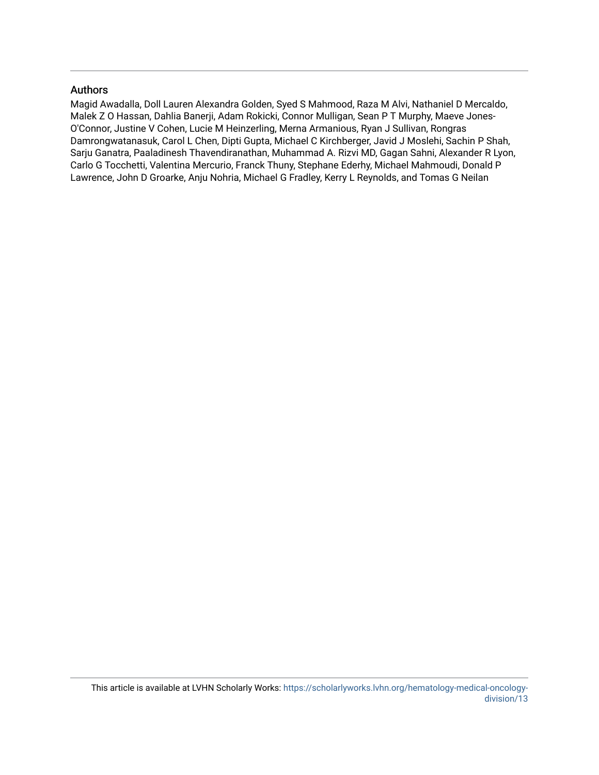## Authors

Magid Awadalla, Doll Lauren Alexandra Golden, Syed S Mahmood, Raza M Alvi, Nathaniel D Mercaldo, Malek Z O Hassan, Dahlia Banerji, Adam Rokicki, Connor Mulligan, Sean P T Murphy, Maeve Jones-O'Connor, Justine V Cohen, Lucie M Heinzerling, Merna Armanious, Ryan J Sullivan, Rongras Damrongwatanasuk, Carol L Chen, Dipti Gupta, Michael C Kirchberger, Javid J Moslehi, Sachin P Shah, Sarju Ganatra, Paaladinesh Thavendiranathan, Muhammad A. Rizvi MD, Gagan Sahni, Alexander R Lyon, Carlo G Tocchetti, Valentina Mercurio, Franck Thuny, Stephane Ederhy, Michael Mahmoudi, Donald P Lawrence, John D Groarke, Anju Nohria, Michael G Fradley, Kerry L Reynolds, and Tomas G Neilan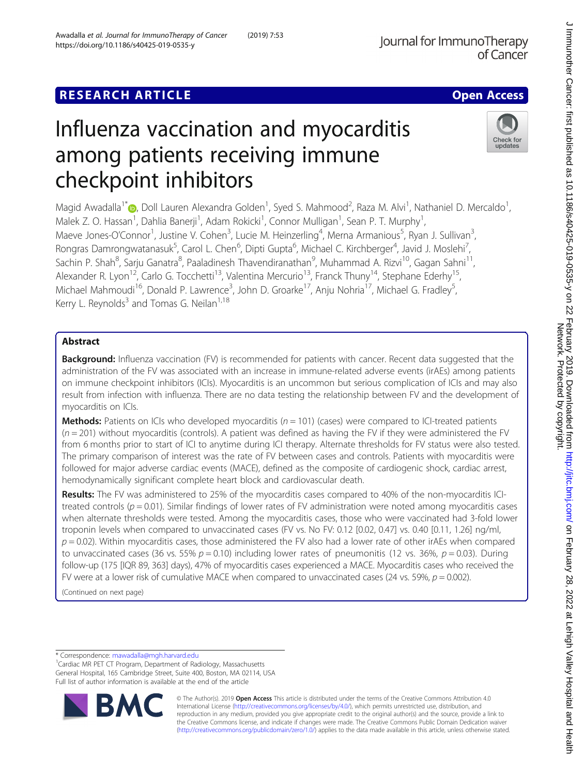## **RESEARCH ARTICLE Example 2014 12:30 The Contract of Contract ACCESS**

# Influenza vaccination and myocarditis among patients receiving immune checkpoint inhibitors

Magid Awadalla<sup>1\*</sup>�, Doll Lauren Alexandra Golden<sup>1</sup>, Syed S. Mahmood<sup>2</sup>, Raza M. Alvi<sup>1</sup>, Nathaniel D. Mercaldo<sup>1</sup> Malek Z. O. Hassan<sup>1</sup>, Dahlia Banerji<sup>1</sup>, Adam Rokicki<sup>1</sup>, Connor Mulligan<sup>1</sup>, Sean P. T. Murphy<sup>1</sup> , Maeve Jones-O'Connor<sup>1</sup>, Justine V. Cohen<sup>3</sup>, Lucie M. Heinzerling<sup>4</sup>, Merna Armanious<sup>5</sup>, Ryan J. Sullivan<sup>3</sup> , Rongras Damrongwatanasuk<sup>5</sup>, Carol L. Chen<sup>6</sup>, Dipti Gupta<sup>6</sup>, Michael C. Kirchberger<sup>4</sup>, Javid J. Moslehi<sup>7</sup> , Sachin P. Shah $^8$ , Sarju Ganatra $^8$ , Paaladinesh Thavendiranathan $^9$ , Muhammad A. Rizvi $^{10}$ , Gagan Sahni $^{11}$ , Alexander R. Lyon<sup>12</sup>, Carlo G. Tocchetti<sup>13</sup>, Valentina Mercurio<sup>13</sup>, Franck Thuny<sup>14</sup>, Stephane Ederhy<sup>15</sup>, Michael Mahmoudi<sup>16</sup>, Donald P. Lawrence<sup>3</sup>, John D. Groarke<sup>17</sup>, Anju Nohria<sup>17</sup>, Michael G. Fradley<sup>5</sup> , Kerry L. Reynolds<sup>3</sup> and Tomas G. Neilan<sup>1,18</sup>

## Abstract

Background: Influenza vaccination (FV) is recommended for patients with cancer. Recent data suggested that the administration of the FV was associated with an increase in immune-related adverse events (irAEs) among patients on immune checkpoint inhibitors (ICIs). Myocarditis is an uncommon but serious complication of ICIs and may also result from infection with influenza. There are no data testing the relationship between FV and the development of myocarditis on ICIs.

**Methods:** Patients on ICIs who developed myocarditis ( $n = 101$ ) (cases) were compared to ICI-treated patients  $(n = 201)$  without myocarditis (controls). A patient was defined as having the FV if they were administered the FV from 6 months prior to start of ICI to anytime during ICI therapy. Alternate thresholds for FV status were also tested. The primary comparison of interest was the rate of FV between cases and controls. Patients with myocarditis were followed for major adverse cardiac events (MACE), defined as the composite of cardiogenic shock, cardiac arrest, hemodynamically significant complete heart block and cardiovascular death.

Results: The FV was administered to 25% of the myocarditis cases compared to 40% of the non-myocarditis ICItreated controls ( $p = 0.01$ ). Similar findings of lower rates of FV administration were noted among myocarditis cases when alternate thresholds were tested. Among the myocarditis cases, those who were vaccinated had 3-fold lower troponin levels when compared to unvaccinated cases (FV vs. No FV: 0.12 [0.02, 0.47] vs. 0.40 [0.11, 1.26] ng/ml,  $p = 0.02$ ). Within myocarditis cases, those administered the FV also had a lower rate of other irAEs when compared to unvaccinated cases (36 vs. 55%  $p = 0.10$ ) including lower rates of pneumonitis (12 vs. 36%,  $p = 0.03$ ). During follow-up (175 [IQR 89, 363] days), 47% of myocarditis cases experienced a MACE. Myocarditis cases who received the FV were at a lower risk of cumulative MACE when compared to unvaccinated cases (24 vs. 59%,  $p = 0.002$ ).

(Continued on next page)

\* Correspondence: [mawadalla@mgh.harvard.edu](mailto:mawadalla@mgh.harvard.edu) <sup>1</sup>

Cardiac MR PET CT Program, Department of Radiology, Massachusetts General Hospital, 165 Cambridge Street, Suite 400, Boston, MA 02114, USA Full list of author information is available at the end of the article



© The Author(s). 2019 Open Access This article is distributed under the terms of the Creative Commons Attribution 4.0 International License [\(http://creativecommons.org/licenses/by/4.0/](http://creativecommons.org/licenses/by/4.0/)), which permits unrestricted use, distribution, and reproduction in any medium, provided you give appropriate credit to the original author(s) and the source, provide a link to the Creative Commons license, and indicate if changes were made. The Creative Commons Public Domain Dedication waiver [\(http://creativecommons.org/publicdomain/zero/1.0/](http://creativecommons.org/publicdomain/zero/1.0/)) applies to the data made available in this article, unless otherwise stated.

Check for update:

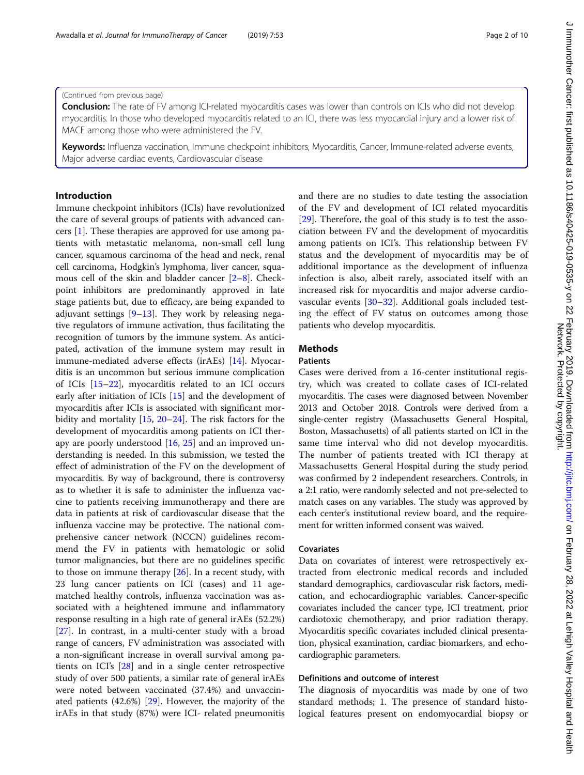#### (Continued from previous page)

**Conclusion:** The rate of FV among ICI-related myocarditis cases was lower than controls on ICIs who did not develop myocarditis. In those who developed myocarditis related to an ICI, there was less myocardial injury and a lower risk of MACE among those who were administered the FV.

Keywords: Influenza vaccination, Immune checkpoint inhibitors, Myocarditis, Cancer, Immune-related adverse events, Major adverse cardiac events, Cardiovascular disease

## Introduction

Immune checkpoint inhibitors (ICIs) have revolutionized the care of several groups of patients with advanced cancers [\[1\]](#page-10-0). These therapies are approved for use among patients with metastatic melanoma, non-small cell lung cancer, squamous carcinoma of the head and neck, renal cell carcinoma, Hodgkin's lymphoma, liver cancer, squamous cell of the skin and bladder cancer [[2](#page-10-0)–[8](#page-10-0)]. Checkpoint inhibitors are predominantly approved in late stage patients but, due to efficacy, are being expanded to adjuvant settings [\[9](#page-10-0)–[13\]](#page-10-0). They work by releasing negative regulators of immune activation, thus facilitating the recognition of tumors by the immune system. As anticipated, activation of the immune system may result in immune-mediated adverse effects (irAEs) [[14\]](#page-10-0). Myocarditis is an uncommon but serious immune complication of ICIs [\[15](#page-10-0)–[22\]](#page-10-0), myocarditis related to an ICI occurs early after initiation of ICIs [[15\]](#page-10-0) and the development of myocarditis after ICIs is associated with significant morbidity and mortality [[15,](#page-10-0) [20](#page-10-0)–[24\]](#page-10-0). The risk factors for the development of myocarditis among patients on ICI therapy are poorly understood [[16](#page-10-0), [25\]](#page-10-0) and an improved understanding is needed. In this submission, we tested the effect of administration of the FV on the development of myocarditis. By way of background, there is controversy as to whether it is safe to administer the influenza vaccine to patients receiving immunotherapy and there are data in patients at risk of cardiovascular disease that the influenza vaccine may be protective. The national comprehensive cancer network (NCCN) guidelines recommend the FV in patients with hematologic or solid tumor malignancies, but there are no guidelines specific to those on immune therapy [[26\]](#page-10-0). In a recent study, with 23 lung cancer patients on ICI (cases) and 11 agematched healthy controls, influenza vaccination was associated with a heightened immune and inflammatory response resulting in a high rate of general irAEs (52.2%) [[27\]](#page-10-0). In contrast, in a multi-center study with a broad range of cancers, FV administration was associated with a non-significant increase in overall survival among patients on ICI's [[28\]](#page-10-0) and in a single center retrospective study of over 500 patients, a similar rate of general irAEs were noted between vaccinated (37.4%) and unvaccinated patients (42.6%) [[29](#page-10-0)]. However, the majority of the irAEs in that study (87%) were ICI- related pneumonitis

and there are no studies to date testing the association of the FV and development of ICI related myocarditis [[29\]](#page-10-0). Therefore, the goal of this study is to test the association between FV and the development of myocarditis among patients on ICI's. This relationship between FV status and the development of myocarditis may be of additional importance as the development of influenza infection is also, albeit rarely, associated itself with an increased risk for myocarditis and major adverse cardiovascular events [[30](#page-10-0)–[32](#page-10-0)]. Additional goals included testing the effect of FV status on outcomes among those patients who develop myocarditis.

## **Methods**

## **Patients**

Cases were derived from a 16-center institutional registry, which was created to collate cases of ICI-related myocarditis. The cases were diagnosed between November 2013 and October 2018. Controls were derived from a single-center registry (Massachusetts General Hospital, Boston, Massachusetts) of all patients started on ICI in the same time interval who did not develop myocarditis. The number of patients treated with ICI therapy at Massachusetts General Hospital during the study period was confirmed by 2 independent researchers. Controls, in a 2:1 ratio, were randomly selected and not pre-selected to match cases on any variables. The study was approved by each center's institutional review board, and the requirement for written informed consent was waived.

### Covariates

Data on covariates of interest were retrospectively extracted from electronic medical records and included standard demographics, cardiovascular risk factors, medication, and echocardiographic variables. Cancer-specific covariates included the cancer type, ICI treatment, prior cardiotoxic chemotherapy, and prior radiation therapy. Myocarditis specific covariates included clinical presentation, physical examination, cardiac biomarkers, and echocardiographic parameters.

#### Definitions and outcome of interest

The diagnosis of myocarditis was made by one of two standard methods; 1. The presence of standard histological features present on endomyocardial biopsy or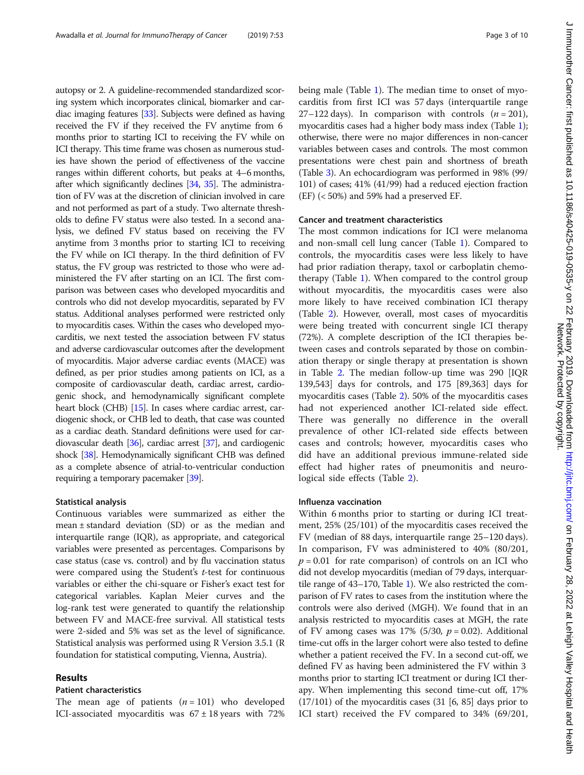autopsy or 2. A guideline-recommended standardized scor-

ing system which incorporates clinical, biomarker and cardiac imaging features [[33](#page-11-0)]. Subjects were defined as having received the FV if they received the FV anytime from 6 months prior to starting ICI to receiving the FV while on ICI therapy. This time frame was chosen as numerous studies have shown the period of effectiveness of the vaccine ranges within different cohorts, but peaks at 4–6 months, after which significantly declines [\[34,](#page-11-0) [35\]](#page-11-0). The administration of FV was at the discretion of clinician involved in care and not performed as part of a study. Two alternate thresholds to define FV status were also tested. In a second analysis, we defined FV status based on receiving the FV anytime from 3 months prior to starting ICI to receiving the FV while on ICI therapy. In the third definition of FV status, the FV group was restricted to those who were administered the FV after starting on an ICI. The first comparison was between cases who developed myocarditis and controls who did not develop myocarditis, separated by FV status. Additional analyses performed were restricted only to myocarditis cases. Within the cases who developed myocarditis, we next tested the association between FV status and adverse cardiovascular outcomes after the development of myocarditis. Major adverse cardiac events (MACE) was defined, as per prior studies among patients on ICI, as a composite of cardiovascular death, cardiac arrest, cardiogenic shock, and hemodynamically significant complete heart block (CHB) [\[15\]](#page-10-0). In cases where cardiac arrest, cardiogenic shock, or CHB led to death, that case was counted as a cardiac death. Standard definitions were used for cardiovascular death [\[36\]](#page-11-0), cardiac arrest [[37](#page-11-0)], and cardiogenic shock [[38](#page-11-0)]. Hemodynamically significant CHB was defined as a complete absence of atrial-to-ventricular conduction requiring a temporary pacemaker [\[39\]](#page-11-0).

### Statistical analysis

Continuous variables were summarized as either the mean ± standard deviation (SD) or as the median and interquartile range (IQR), as appropriate, and categorical variables were presented as percentages. Comparisons by case status (case vs. control) and by flu vaccination status were compared using the Student's t-test for continuous variables or either the chi-square or Fisher's exact test for categorical variables. Kaplan Meier curves and the log-rank test were generated to quantify the relationship between FV and MACE-free survival. All statistical tests were 2-sided and 5% was set as the level of significance. Statistical analysis was performed using R Version 3.5.1 (R foundation for statistical computing, Vienna, Austria).

#### Results

#### Patient characteristics

The mean age of patients  $(n = 101)$  who developed ICI-associated myocarditis was  $67 \pm 18$  years with 72% being male (Table [1](#page-5-0)). The median time to onset of myocarditis from first ICI was 57 days (interquartile range 27–122 days). In comparison with controls  $(n = 201)$ , myocarditis cases had a higher body mass index (Table [1](#page-5-0)); otherwise, there were no major differences in non-cancer variables between cases and controls. The most common presentations were chest pain and shortness of breath (Table [3](#page-7-0)). An echocardiogram was performed in 98% (99/ 101) of cases; 41% (41/99) had a reduced ejection fraction (EF) (< 50%) and 59% had a preserved EF.

## Cancer and treatment characteristics

The most common indications for ICI were melanoma and non-small cell lung cancer (Table [1](#page-5-0)). Compared to controls, the myocarditis cases were less likely to have had prior radiation therapy, taxol or carboplatin chemotherapy (Table [1](#page-5-0)). When compared to the control group without myocarditis, the myocarditis cases were also more likely to have received combination ICI therapy (Table [2\)](#page-6-0). However, overall, most cases of myocarditis were being treated with concurrent single ICI therapy (72%). A complete description of the ICI therapies between cases and controls separated by those on combination therapy or single therapy at presentation is shown in Table [2](#page-6-0). The median follow-up time was 290 [IQR 139,543] days for controls, and 175 [89,363] days for myocarditis cases (Table [2](#page-6-0)). 50% of the myocarditis cases had not experienced another ICI-related side effect. There was generally no difference in the overall prevalence of other ICI-related side effects between cases and controls; however, myocarditis cases who did have an additional previous immune-related side effect had higher rates of pneumonitis and neurological side effects (Table [2](#page-6-0)).

### Influenza vaccination

Within 6 months prior to starting or during ICI treatment, 25% (25/101) of the myocarditis cases received the FV (median of 88 days, interquartile range 25–120 days). In comparison, FV was administered to 40% (80/201,  $p = 0.01$  for rate comparison) of controls on an ICI who did not develop myocarditis (median of 79 days, interquartile range of 43–170, Table [1\)](#page-5-0). We also restricted the comparison of FV rates to cases from the institution where the controls were also derived (MGH). We found that in an analysis restricted to myocarditis cases at MGH, the rate of FV among cases was 17% (5/30,  $p = 0.02$ ). Additional time-cut offs in the larger cohort were also tested to define whether a patient received the FV. In a second cut-off, we defined FV as having been administered the FV within 3 months prior to starting ICI treatment or during ICI therapy. When implementing this second time-cut off, 17% (17/101) of the myocarditis cases (31 [6, 85] days prior to ICI start) received the FV compared to 34% (69/201,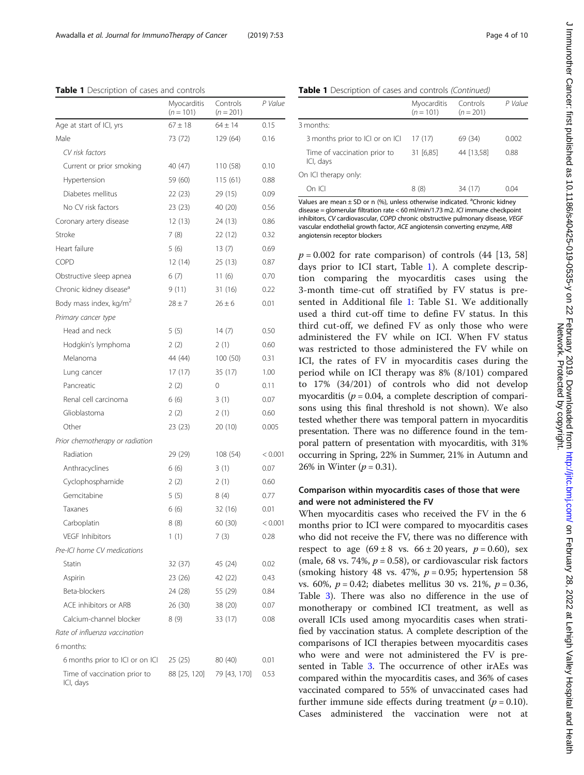<span id="page-5-0"></span>Table 1 Description of cases and controls

|                                           | Myocarditis<br>$(n = 101)$ | Controls<br>$(n = 201)$ | P Value |
|-------------------------------------------|----------------------------|-------------------------|---------|
| Age at start of ICI, yrs                  | $67 \pm 18$                | $64 \pm 14$             | 0.15    |
| Male                                      | 73 (72)                    | 129 (64)                | 0.16    |
| CV risk factors                           |                            |                         |         |
| Current or prior smoking                  | 40 (47)                    | 110 (58)                | 0.10    |
| Hypertension                              | 59 (60)                    | 115(61)                 | 0.88    |
| Diabetes mellitus                         | 22 (23)                    | 29 (15)                 | 0.09    |
| No CV risk factors                        | 23(23)                     | 40 (20)                 | 0.56    |
| Coronary artery disease                   | 12(13)                     | 24 (13)                 | 0.86    |
| Stroke                                    | 7(8)                       | 22 (12)                 | 0.32    |
| Heart failure                             | 5(6)                       | 13(7)                   | 0.69    |
| COPD                                      | 12 (14)                    | 25 (13)                 | 0.87    |
| Obstructive sleep apnea                   | 6(7)                       | 11(6)                   | 0.70    |
| Chronic kidney disease <sup>a</sup>       | 9(11)                      | 31 (16)                 | 0.22    |
| Body mass index, kg/m <sup>2</sup>        | $28 \pm 7$                 | $26 \pm 6$              | 0.01    |
| Primary cancer type                       |                            |                         |         |
| Head and neck                             | 5(5)                       | 14(7)                   | 0.50    |
| Hodgkin's lymphoma                        | 2(2)                       | 2 (1)                   | 0.60    |
| Melanoma                                  | 44 (44)                    | 100 (50)                | 0.31    |
| Lung cancer                               | 17(17)                     | 35 (17)                 | 1.00    |
| Pancreatic                                | 2(2)                       | 0                       | 0.11    |
| Renal cell carcinoma                      | 6(6)                       | 3(1)                    | 0.07    |
| Glioblastoma                              | 2(2)                       | 2(1)                    | 0.60    |
| Other                                     | 23 (23)                    | 20 (10)                 | 0.005   |
| Prior chemotherapy or radiation           |                            |                         |         |
| Radiation                                 | 29 (29)                    | 108 (54)                | < 0.001 |
| Anthracyclines                            | 6(6)                       | 3(1)                    | 0.07    |
| Cyclophosphamide                          | 2(2)                       | 2(1)                    | 0.60    |
| Gemcitabine                               | 5(5)                       | 8(4)                    | 0.77    |
| Taxanes                                   | 6(6)                       | 32 (16)                 | 0.01    |
| Carboplatin                               | 8 (8)                      | 60 (30)                 | < 0.001 |
| VEGF Inhibitors                           | 1(1)                       | 7(3)                    | 0.28    |
| Pre-ICI home CV medications               |                            |                         |         |
| Statin                                    | 32 (37)                    | 45 (24)                 | 0.02    |
| Aspirin                                   | 23 (26)                    | 42 (22)                 | 0.43    |
| Beta-blockers                             | 24 (28)                    | 55 (29)                 | 0.84    |
| ACE inhibitors or ARB                     | 26 (30)                    | 38 (20)                 | 0.07    |
| Calcium-channel blocker                   | 8(9)                       | 33 (17)                 | 0.08    |
| Rate of influenza vaccination             |                            |                         |         |
| 6 months:                                 |                            |                         |         |
| 6 months prior to ICI or on ICI           | 25(25)                     | 80 (40)                 | 0.01    |
| Time of vaccination prior to<br>ICI, days | 88 [25, 120]               | 79 [43, 170]            | 0.53    |

### Table 1 Description of cases and controls (Continued)

|                                           | Myocarditis<br>$(n = 101)$ | Controls<br>$(n = 201)$ | P Value |
|-------------------------------------------|----------------------------|-------------------------|---------|
| 3 months:                                 |                            |                         |         |
| 3 months prior to ICI or on ICI           | 17(17)                     | 69 (34)                 | 0.002   |
| Time of vaccination prior to<br>ICI, days | 31 [6,85]                  | 44 [13,58]              | 0.88    |
| On ICI therapy only:                      |                            |                         |         |
| On ICI                                    | 8 (8)                      | 34 (17)                 | O 04    |

Values are mean  $\pm$  SD or n (%), unless otherwise indicated. <sup>a</sup>Chronic kidney disease = glomerular filtration rate < 60 ml/min/1.73 m2. ICI immune checkpoint inhibitors, CV cardiovascular, COPD chronic obstructive pulmonary disease, VEGF vascular endothelial growth factor, ACE angiotensin converting enzyme, ARB angiotensin receptor blockers

 $p = 0.002$  for rate comparison) of controls (44 [13, 58] days prior to ICI start, Table 1). A complete description comparing the myocarditis cases using the 3-month time-cut off stratified by FV status is presented in Additional file [1:](#page-9-0) Table S1. We additionally used a third cut-off time to define FV status. In this third cut-off, we defined FV as only those who were administered the FV while on ICI. When FV status was restricted to those administered the FV while on ICI, the rates of FV in myocarditis cases during the period while on ICI therapy was 8% (8/101) compared to 17% (34/201) of controls who did not develop myocarditis ( $p = 0.04$ , a complete description of comparisons using this final threshold is not shown). We also tested whether there was temporal pattern in myocarditis presentation. There was no difference found in the temporal pattern of presentation with myocarditis, with 31% occurring in Spring, 22% in Summer, 21% in Autumn and 26% in Winter  $(p = 0.31)$ .

#### Comparison within myocarditis cases of those that were and were not administered the FV

When myocarditis cases who received the FV in the 6 months prior to ICI were compared to myocarditis cases who did not receive the FV, there was no difference with respect to age  $(69 \pm 8 \text{ vs. } 66 \pm 20 \text{ years}, p = 0.60)$ , sex (male, 68 vs. 74%,  $p = 0.58$ ), or cardiovascular risk factors (smoking history 48 vs. 47%,  $p = 0.95$ ; hypertension 58 vs. 60%,  $p = 0.42$ ; diabetes mellitus 30 vs. 21%,  $p = 0.36$ , Table [3](#page-7-0)). There was also no difference in the use of monotherapy or combined ICI treatment, as well as overall ICIs used among myocarditis cases when stratified by vaccination status. A complete description of the comparisons of ICI therapies between myocarditis cases who were and were not administered the FV is presented in Table [3.](#page-7-0) The occurrence of other irAEs was compared within the myocarditis cases, and 36% of cases vaccinated compared to 55% of unvaccinated cases had further immune side effects during treatment ( $p = 0.10$ ). Cases administered the vaccination were not at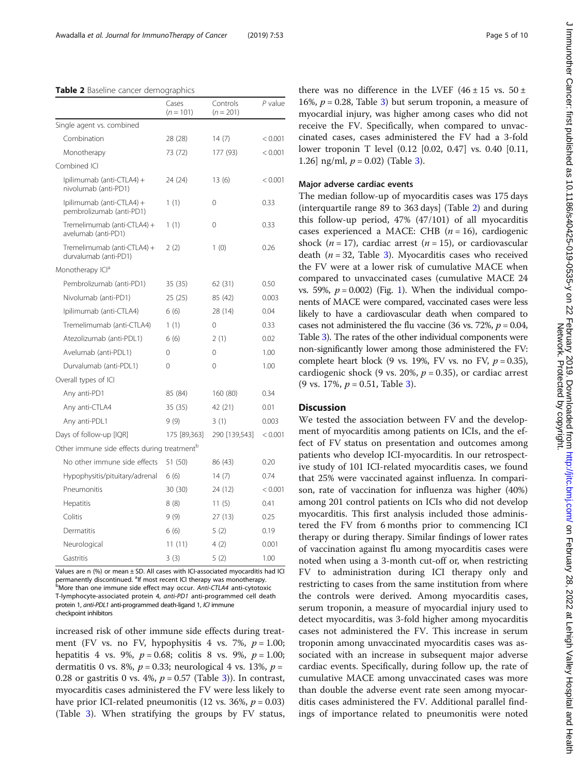#### <span id="page-6-0"></span>Table 2 Baseline cancer demographics

|                                                         | Cases<br>$(n = 101)$ | Controls<br>$(n = 201)$ | $P$ value |
|---------------------------------------------------------|----------------------|-------------------------|-----------|
| Single agent vs. combined                               |                      |                         |           |
| Combination                                             | 28 (28)              | 14(7)                   | < 0.001   |
| Monotherapy                                             | 73 (72)              | 177 (93)                | < 0.001   |
| Combined ICI                                            |                      |                         |           |
| Ipilimumab (anti-CTLA4) +<br>nivolumab (anti-PD1)       | 24 (24)              | 13(6)                   | < 0.001   |
| Ipilimumab (anti-CTLA4) +<br>pembrolizumab (anti-PD1)   | 1(1)                 | 0                       | 0.33      |
| Tremelimumab (anti-CTLA4) +<br>avelumab (anti-PD1)      | 1(1)                 | 0                       | 0.33      |
| Tremelimumab (anti-CTLA4) +<br>durvalumab (anti-PD1)    | 2(2)                 | 1(0)                    | 0.26      |
| Monotherapy ICI <sup>a</sup>                            |                      |                         |           |
| Pembrolizumab (anti-PD1)                                | 35(35)               | 62 (31)                 | 0.50      |
| Nivolumab (anti-PD1)                                    | 25(25)               | 85 (42)                 | 0.003     |
| Ipilimumab (anti-CTLA4)                                 | 6(6)                 | 28 (14)                 | 0.04      |
| Tremelimumab (anti-CTLA4)                               | 1(1)                 | 0                       | 0.33      |
| Atezolizumab (anti-PDL1)                                | 6(6)                 | 2(1)                    | 0.02      |
| Avelumab (anti-PDL1)                                    | 0                    | 0                       | 1.00      |
| Durvalumab (anti-PDL1)                                  | 0                    | 0                       | 1.00      |
| Overall types of ICI                                    |                      |                         |           |
| Any anti-PD1                                            | 85 (84)              | 160 (80)                | 0.34      |
| Any anti-CTLA4                                          | 35 (35)              | 42 (21)                 | 0.01      |
| Any anti-PDL1                                           | 9(9)                 | 3(1)                    | 0.003     |
| Days of follow-up [IQR]                                 | 175 [89,363]         | 290 [139,543]           | < 0.001   |
| Other immune side effects during treatment <sup>b</sup> |                      |                         |           |
| No other immune side effects                            | 51 (50)              | 86 (43)                 | 0.20      |
| Hypophysitis/pituitary/adrenal                          | 6(6)                 | 14(7)                   | 0.74      |
| Pneumonitis                                             | 30 (30)              | 24 (12)                 | < 0.001   |
| Hepatitis                                               | 8(8)                 | 11(5)                   | 0.41      |
| Colitis                                                 | 9(9)                 | 27(13)                  | 0.25      |
| Dermatitis                                              | 6(6)                 | 5(2)                    | 0.19      |
| Neurological                                            | 11(11)               | 4(2)                    | 0.001     |
| Gastritis                                               | 3(3)                 | 5(2)                    | 1.00      |

Values are n  $(%)$  or mean  $±$  SD. All cases with ICI-associated myocarditis had ICI permanently discontinued. <sup>a</sup>lf most recent ICI therapy was monotherapy.<br>PMore than one immune side offect may essure Anti CTI 44 anti-outotox bMore than one immune side effect may occur. Anti-CTLA4 anti-cytotoxic T-lymphocyte-associated protein 4, anti-PD1 anti-programmed cell death protein 1, anti-PDL1 anti-programmed death-ligand 1, ICI immune checkpoint inhibitors

increased risk of other immune side effects during treatment (FV vs. no FV, hypophysitis 4 vs. 7%,  $p = 1.00$ ; hepatitis 4 vs. 9%,  $p = 0.68$ ; colitis 8 vs. 9%,  $p = 1.00$ ; dermatitis 0 vs. 8%,  $p = 0.33$ ; neurological 4 vs. 13%,  $p =$ 0.28 or gastritis 0 vs. 4%,  $p = 0.57$  (Table [3](#page-7-0))). In contrast, myocarditis cases administered the FV were less likely to have prior ICI-related pneumonitis (12 vs. 36%,  $p = 0.03$ ) (Table [3\)](#page-7-0). When stratifying the groups by FV status,

there was no difference in the LVEF ( $46 \pm 15$  vs.  $50 \pm$ 16%,  $p = 0.28$ , Table [3](#page-7-0)) but serum troponin, a measure of myocardial injury, was higher among cases who did not receive the FV. Specifically, when compared to unvaccinated cases, cases administered the FV had a 3-fold lower troponin T level (0.12 [0.02, 0.47] vs. 0.40 [0.11,

#### Major adverse cardiac events

1.26] ng/ml,  $p = 0.02$  (Table [3](#page-7-0)).

The median follow-up of myocarditis cases was 175 days (interquartile range 89 to 363 days] (Table 2) and during this follow-up period, 47% (47/101) of all myocarditis cases experienced a MACE: CHB  $(n = 16)$ , cardiogenic shock ( $n = 17$ ), cardiac arrest ( $n = 15$ ), or cardiovascular death ( $n = 32$  $n = 32$  $n = 32$ , Table 3). Myocarditis cases who received the FV were at a lower risk of cumulative MACE when compared to unvaccinated cases (cumulative MACE 24 vs. 59%,  $p = 0.002$ ) (Fig. [1](#page-8-0)). When the individual components of MACE were compared, vaccinated cases were less likely to have a cardiovascular death when compared to cases not administered the flu vaccine (36 vs. 72%,  $p = 0.04$ , Table [3](#page-7-0)). The rates of the other individual components were non-significantly lower among those administered the FV: complete heart block (9 vs. 19%, FV vs. no FV,  $p = 0.35$ ), cardiogenic shock (9 vs. 20%,  $p = 0.35$ ), or cardiac arrest (9 vs. 17%,  $p = 0.51$ , Table [3\)](#page-7-0).

## **Discussion**

We tested the association between FV and the development of myocarditis among patients on ICIs, and the effect of FV status on presentation and outcomes among patients who develop ICI-myocarditis. In our retrospective study of 101 ICI-related myocarditis cases, we found that 25% were vaccinated against influenza. In comparison, rate of vaccination for influenza was higher (40%) among 201 control patients on ICIs who did not develop myocarditis. This first analysis included those administered the FV from 6 months prior to commencing ICI therapy or during therapy. Similar findings of lower rates of vaccination against flu among myocarditis cases were noted when using a 3-month cut-off or, when restricting FV to administration during ICI therapy only and restricting to cases from the same institution from where the controls were derived. Among myocarditis cases, serum troponin, a measure of myocardial injury used to detect myocarditis, was 3-fold higher among myocarditis cases not administered the FV. This increase in serum troponin among unvaccinated myocarditis cases was associated with an increase in subsequent major adverse cardiac events. Specifically, during follow up, the rate of cumulative MACE among unvaccinated cases was more than double the adverse event rate seen among myocarditis cases administered the FV. Additional parallel findings of importance related to pneumonitis were noted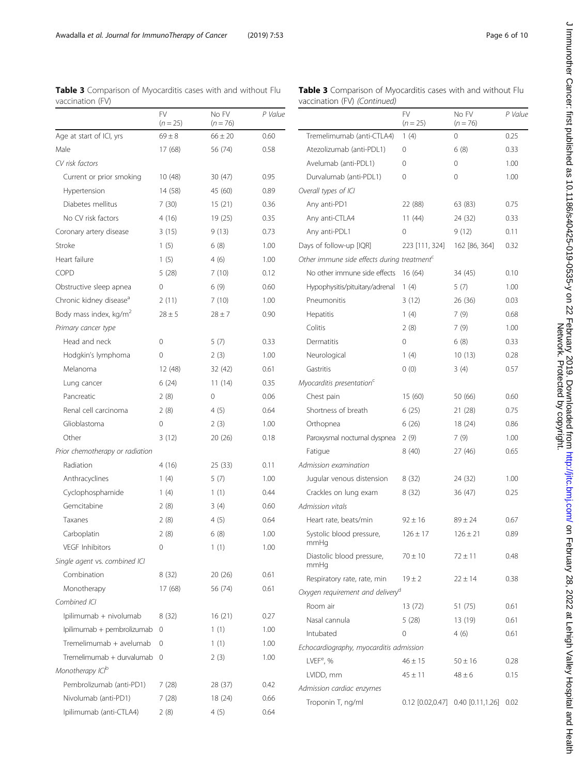| vaccination (FV)                    |                         |                     |         | vaccination (FV) (Continued)                             |
|-------------------------------------|-------------------------|---------------------|---------|----------------------------------------------------------|
|                                     | <b>FV</b><br>$(n = 25)$ | No FV<br>$(n = 76)$ | P Value |                                                          |
| Age at start of ICI, yrs            | $69 \pm 8$              | $66 \pm 20$         | 0.60    | Tremelimumab (anti-CTLA4)                                |
| Male                                | 17 (68)                 | 56 (74)             | 0.58    | Atezolizumab (anti-PDL1)                                 |
| CV risk factors                     |                         |                     |         | Avelumab (anti-PDL1)                                     |
| Current or prior smoking            | 10(48)                  | 30(47)              | 0.95    | Durvalumab (anti-PDL1)                                   |
| Hypertension                        | 14 (58)                 | 45 (60)             | 0.89    | Overall types of ICI                                     |
| Diabetes mellitus                   | 7(30)                   | 15(21)              | 0.36    | Any anti-PD1                                             |
| No CV risk factors                  | 4(16)                   | 19(25)              | 0.35    | Any anti-CTLA4                                           |
| Coronary artery disease             | 3(15)                   | 9(13)               | 0.73    | Any anti-PDL1                                            |
| Stroke                              | 1(5)                    | 6(8)                | 1.00    | Days of follow-up [IQR]                                  |
| Heart failure                       | 1(5)                    | 4(6)                | 1.00    | Other immune side effects durin                          |
| <b>COPD</b>                         | 5(28)                   | 7(10)               | 0.12    | No other immune side effects                             |
| Obstructive sleep apnea             | 0                       | 6(9)                | 0.60    | Hypophysitis/pituitary/adrenal                           |
| Chronic kidney disease <sup>a</sup> | 2(11)                   | 7(10)               | 1.00    | Pneumonitis                                              |
| Body mass index, kg/m <sup>2</sup>  | $78 + 5$                | $28 \pm 7$          | 0.90    | Hepatitis                                                |
| Primary cancer type                 |                         |                     |         | Colitis                                                  |
| Head and neck                       | 0                       | 5(7)                | 0.33    | Dermatitis                                               |
| Hodgkin's lymphoma                  | 0                       | 2(3)                | 1.00    | Neurological                                             |
| Melanoma                            | 12 (48)                 | 32 (42)             | 0.61    | Gastritis                                                |
| Lung cancer                         | 6(24)                   | 11(14)              | 0.35    | Myocarditis presentation <sup>c</sup>                    |
| Pancreatic                          | 2(8)                    | 0                   | 0.06    | Chest pain                                               |
| Renal cell carcinoma                | 2(8)                    | 4(5)                | 0.64    | Shortness of breath                                      |
| Glioblastoma                        | 0                       | 2(3)                | 1.00    | Orthopnea                                                |
| Other                               | 3(12)                   | 20 (26)             | 0.18    | Paroxysmal nocturnal dyspnea                             |
| Prior chemotherapy or radiation     |                         |                     |         | Fatigue                                                  |
| Radiation                           | 4(16)                   | 25 (33)             | 0.11    | Admission examination                                    |
| Anthracyclines                      | 1(4)                    | 5(7)                | 1.00    | Jugular venous distension                                |
| Cyclophosphamide                    | 1(4)                    | 1(1)                | 0.44    | Crackles on lung exam                                    |
| Gemcitabine                         | 2(8)                    | 3(4)                | 0.60    | Admission vitals                                         |
| Taxanes                             | 2(8)                    | 4(5)                | 0.64    | Heart rate, beats/min                                    |
| Carboplatin                         | 2(8)                    | 6(8)                | 1.00    | Systolic blood pressure,                                 |
| <b>VEGF Inhibitors</b>              | 0                       | 1(1)                | 1.00    | mmHg                                                     |
| Single agent vs. combined ICI       |                         |                     |         | Diastolic blood pressure,<br>mmHg                        |
| Combination                         | 8(32)                   | 20(26)              | 0.61    | Respiratory rate, rate, min                              |
| Monotherapy                         | 17 (68)                 | 56 (74)             | 0.61    | Oxygen requirement and deliver                           |
| Combined ICI                        |                         |                     |         | Room air                                                 |
| Ipilimumab + nivolumab              | 8(32)                   | 16(21)              | 0.27    | Nasal cannula                                            |
| Ipilimumab + pembrolizumab          | 0                       | 1(1)                | 1.00    | Intubated                                                |
| Tremelimumab + avelumab             | $\mathbf{0}$            | 1(1)                | 1.00    |                                                          |
| Tremelimumab + durvalumab 0         |                         | 2(3)                | 1.00    | Echocardiography, myocarditis c<br>LVEF <sup>e</sup> , % |
| Monotherapy ICI <sup>b</sup>        |                         |                     |         |                                                          |
| Pembrolizumab (anti-PD1)            | 7 (28)                  | 28 (37)             | 0.42    | LVIDD, mm                                                |
| Nivolumab (anti-PD1)                | 7 (28)                  | 18(24)              | 0.66    | Admission cardiac enzymes                                |
| Ipilimumab (anti-CTLA4)             | 2(8)                    | 4(5)                | 0.64    | Troponin T, ng/ml                                        |
|                                     |                         |                     |         |                                                          |

<span id="page-7-0"></span>

| <b>Table 3</b> Comparison of Myocarditis cases with and without Flu |  |  |
|---------------------------------------------------------------------|--|--|
| vaccination (FV)                                                    |  |  |

Table 3 Comparison of Myocarditis cases with and without Flu vaccination (FV) (Continued)

|                                                | FV<br>$(n = 25)$   | No FV<br>$(n = 76)$   | P Value |
|------------------------------------------------|--------------------|-----------------------|---------|
| Tremelimumab (anti-CTLA4)                      | 1(4)               | 0                     | 0.25    |
| Atezolizumab (anti-PDL1)                       | 0                  | 6(8)                  | 0.33    |
| Avelumab (anti-PDL1)                           | 0                  | 0                     | 1.00    |
| Durvalumab (anti-PDL1)                         | 0                  | 0                     | 1.00    |
| Overall types of ICI                           |                    |                       |         |
| Any anti-PD1                                   | 22 (88)            | 63 (83)               | 0.75    |
| Any anti-CTLA4                                 | 11(44)             | 24 (32)               | 0.33    |
| Any anti-PDL1                                  | 0                  | 9 (12)                | 0.11    |
| Days of follow-up [IQR]                        | 223 [111, 324]     | 162 [86, 364]         | 0.32    |
| Other immune side effects during treatment $c$ |                    |                       |         |
| No other immune side effects                   | 16 (64)            | 34 (45)               | 0.10    |
| Hypophysitis/pituitary/adrenal                 | 1(4)               | 5(7)                  | 1.00    |
| Pneumonitis                                    | 3(12)              | 26 (36)               | 0.03    |
| Hepatitis                                      | 1(4)               | 7 (9)                 | 0.68    |
| Colitis                                        | 2(8)               | 7(9)                  | 1.00    |
| Dermatitis                                     | 0                  | 6(8)                  | 0.33    |
| Neurological                                   | 1(4)               | 10(13)                | 0.28    |
| Gastritis                                      | 0(0)               | 3(4)                  | 0.57    |
| Myocarditis presentation <sup>c</sup>          |                    |                       |         |
| Chest pain                                     | 15 (60)            | 50 (66)               | 0.60    |
| Shortness of breath                            | 6(25)              | 21(28)                | 0.75    |
| Orthopnea                                      | 6(26)              | 18 (24)               | 0.86    |
| Paroxysmal nocturnal dyspnea                   | 2(9)               | 7 (9)                 | 1.00    |
| Fatigue                                        | 8(40)              | 27 (46)               | 0.65    |
| Admission examination                          |                    |                       |         |
| Jugular venous distension                      | 8(32)              | 24 (32)               | 1.00    |
| Crackles on lung exam                          | 8(32)              | 36 (47)               | 0.25    |
| Admission vitals                               |                    |                       |         |
| Heart rate, beats/min                          | $92 \pm 16$        | $89 \pm 24$           | 0.67    |
| Systolic blood pressure,<br>mmHg               | $126 \pm 17$       | $126 \pm 21$          | 0.89    |
| Diastolic blood pressure,<br>mmHg              | $70 \pm 10$        | $72 \pm 11$           | 0.48    |
| Respiratory rate, rate, min                    | $19 \pm 2$         | $22 \pm 14$           | 0.38    |
| Oxygen requirement and delivery <sup>d</sup>   |                    |                       |         |
| Room air                                       | 13 (72)            | 51 (75)               | 0.61    |
| Nasal cannula                                  | 5(28)              | 13 (19)               | 0.61    |
| Intubated                                      | 0                  | 4(6)                  | 0.61    |
| Echocardiography, myocarditis admission        |                    |                       |         |
| LVEF <sup>e</sup> , %                          | $46 \pm 15$        | $50 \pm 16$           | 0.28    |
| LVIDD, mm                                      | $45 \pm 11$        | $48 \pm 6$            | 0.15    |
| Admission cardiac enzymes                      |                    |                       |         |
| Troponin T, ng/ml                              | $0.12$ [0.02,0.47] | $0.40$ $[0.11, 1.26]$ | 0.02    |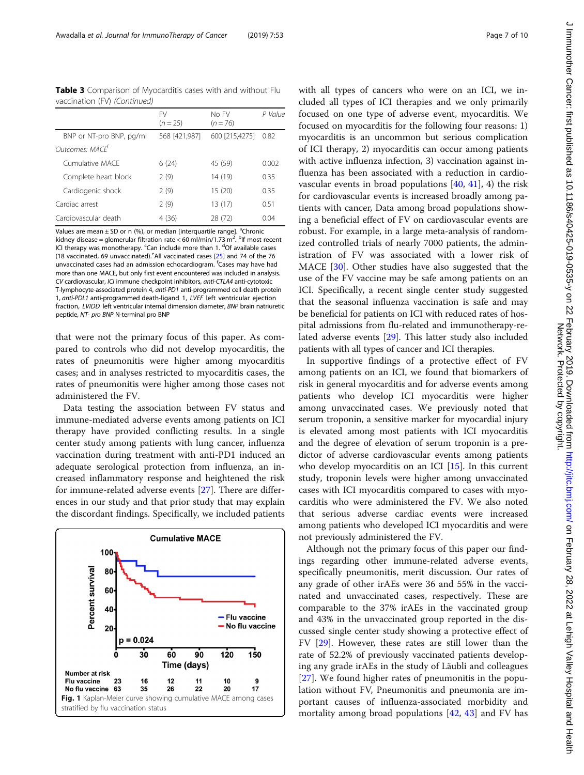<span id="page-8-0"></span>Table 3 Comparison of Myocarditis cases with and without Flu vaccination (FV) (Continued)

|                          | <b>FV</b><br>$(n = 25)$ | No FV<br>$(n = 76)$ | P Value |
|--------------------------|-------------------------|---------------------|---------|
| BNP or NT-pro BNP, pg/ml | 568 [421,987]           | 600 [215,4275]      | 0.82    |
| Outcomes: MACF           |                         |                     |         |
| Cumulative MACF          | 6(24)                   | 45 (59)             | 0.002   |
| Complete heart block     | 2(9)                    | 14 (19)             | 0.35    |
| Cardiogenic shock        | 2(9)                    | 15(20)              | 0.35    |
| Cardiac arrest           | 2(9)                    | 13(17)              | 0.51    |
| Cardiovascular death     | 4(36)                   | 28 (72)             | 0.04    |

Values are mean ± SD or n (%), or median [interquartile range]. <sup>a</sup>Chronic kidney disease = glomerular filtration rate < 60 ml/min/1.73 m<sup>2</sup>. <sup>b</sup>lf most recent ICI therapy was monotherapy. <sup>c</sup>Can include more than 1. <sup>d</sup>Of available cases (18 vaccinated, 69 unvaccinated). <sup>e</sup>All vaccinated cases [\[25](#page-10-0)] and 74 of the 76 unvaccinated cases had an admission echocardiogram. <sup>f</sup>Cases may have had more than one MACE, but only first event encountered was included in analysis. CV cardiovascular, ICI immune checkpoint inhibitors, anti-CTLA4 anti-cytotoxic T-lymphocyte-associated protein 4, anti-PD1 anti-programmed cell death protein 1, anti-PDL1 anti-programmed death-ligand 1, LVEF left ventricular ejection fraction, LVIDD left ventricular internal dimension diameter, BNP brain natriuretic peptide, NT- pro BNP N-terminal pro BNP

that were not the primary focus of this paper. As compared to controls who did not develop myocarditis, the rates of pneumonitis were higher among myocarditis cases; and in analyses restricted to myocarditis cases, the rates of pneumonitis were higher among those cases not administered the FV.

Data testing the association between FV status and immune-mediated adverse events among patients on ICI therapy have provided conflicting results. In a single center study among patients with lung cancer, influenza vaccination during treatment with anti-PD1 induced an adequate serological protection from influenza, an increased inflammatory response and heightened the risk for immune-related adverse events [[27\]](#page-10-0). There are differences in our study and that prior study that may explain the discordant findings. Specifically, we included patients



with all types of cancers who were on an ICI, we included all types of ICI therapies and we only primarily focused on one type of adverse event, myocarditis. We focused on myocarditis for the following four reasons: 1) myocarditis is an uncommon but serious complication of ICI therapy, 2) myocarditis can occur among patients with active influenza infection, 3) vaccination against influenza has been associated with a reduction in cardiovascular events in broad populations [[40](#page-11-0), [41\]](#page-11-0), 4) the risk for cardiovascular events is increased broadly among patients with cancer, Data among broad populations showing a beneficial effect of FV on cardiovascular events are robust. For example, in a large meta-analysis of randomized controlled trials of nearly 7000 patients, the administration of FV was associated with a lower risk of MACE [\[30](#page-10-0)]. Other studies have also suggested that the use of the FV vaccine may be safe among patients on an ICI. Specifically, a recent single center study suggested that the seasonal influenza vaccination is safe and may be beneficial for patients on ICI with reduced rates of hospital admissions from flu-related and immunotherapy-related adverse events [\[29\]](#page-10-0). This latter study also included patients with all types of cancer and ICI therapies.

In supportive findings of a protective effect of FV among patients on an ICI, we found that biomarkers of risk in general myocarditis and for adverse events among patients who develop ICI myocarditis were higher among unvaccinated cases. We previously noted that serum troponin, a sensitive marker for myocardial injury is elevated among most patients with ICI myocarditis and the degree of elevation of serum troponin is a predictor of adverse cardiovascular events among patients who develop myocarditis on an ICI  $[15]$ . In this current study, troponin levels were higher among unvaccinated cases with ICI myocarditis compared to cases with myocarditis who were administered the FV. We also noted that serious adverse cardiac events were increased among patients who developed ICI myocarditis and were not previously administered the FV.

Although not the primary focus of this paper our findings regarding other immune-related adverse events, specifically pneumonitis, merit discussion. Our rates of any grade of other irAEs were 36 and 55% in the vaccinated and unvaccinated cases, respectively. These are comparable to the 37% irAEs in the vaccinated group and 43% in the unvaccinated group reported in the discussed single center study showing a protective effect of FV [[29\]](#page-10-0). However, these rates are still lower than the rate of 52.2% of previously vaccinated patients developing any grade irAEs in the study of Läubli and colleagues [[27\]](#page-10-0). We found higher rates of pneumonitis in the population without FV, Pneumonitis and pneumonia are important causes of influenza-associated morbidity and mortality among broad populations [[42](#page-11-0), [43\]](#page-11-0) and FV has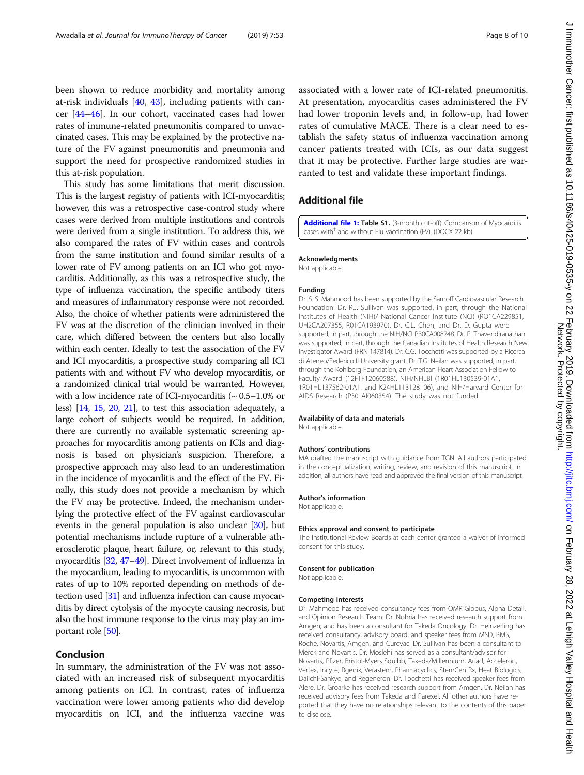J Immunother Cancer: first published as 10.1186/s40425-019-0535-y on 22 February 2019. Downloaded from http://jitc.bmj.com/ on February 28, 2022 at Lehigh Valley Hospital and Health<br>Networker Cancer: first published as 10. J mmunother Cancer: tirst published as 10.1186/s40425-019-0535-y on 22 February 2019. Downloaded from <http://jitc.bmj.com/> on February 28, 2022 at Lehigh Valley Hospital and Health Network. Protected by copyright.

<span id="page-9-0"></span>been shown to reduce morbidity and mortality among at-risk individuals [[40,](#page-11-0) [43](#page-11-0)], including patients with cancer [[44](#page-11-0)–[46](#page-11-0)]. In our cohort, vaccinated cases had lower rates of immune-related pneumonitis compared to unvaccinated cases. This may be explained by the protective nature of the FV against pneumonitis and pneumonia and support the need for prospective randomized studies in this at-risk population.

This study has some limitations that merit discussion. This is the largest registry of patients with ICI-myocarditis; however, this was a retrospective case-control study where cases were derived from multiple institutions and controls were derived from a single institution. To address this, we also compared the rates of FV within cases and controls from the same institution and found similar results of a lower rate of FV among patients on an ICI who got myocarditis. Additionally, as this was a retrospective study, the type of influenza vaccination, the specific antibody titers and measures of inflammatory response were not recorded. Also, the choice of whether patients were administered the FV was at the discretion of the clinician involved in their care, which differed between the centers but also locally within each center. Ideally to test the association of the FV and ICI myocarditis, a prospective study comparing all ICI patients with and without FV who develop myocarditis, or a randomized clinical trial would be warranted. However, with a low incidence rate of ICI-myocarditis ( $\sim 0.5-1.0\%$  or less) [\[14,](#page-10-0) [15](#page-10-0), [20](#page-10-0), [21\]](#page-10-0), to test this association adequately, a large cohort of subjects would be required. In addition, there are currently no available systematic screening approaches for myocarditis among patients on ICIs and diagnosis is based on physician's suspicion. Therefore, a prospective approach may also lead to an underestimation in the incidence of myocarditis and the effect of the FV. Finally, this study does not provide a mechanism by which the FV may be protective. Indeed, the mechanism underlying the protective effect of the FV against cardiovascular events in the general population is also unclear [[30](#page-10-0)], but potential mechanisms include rupture of a vulnerable atherosclerotic plaque, heart failure, or, relevant to this study, myocarditis [\[32](#page-10-0), [47](#page-11-0)–[49](#page-11-0)]. Direct involvement of influenza in the myocardium, leading to myocarditis, is uncommon with rates of up to 10% reported depending on methods of detection used [\[31\]](#page-10-0) and influenza infection can cause myocarditis by direct cytolysis of the myocyte causing necrosis, but also the host immune response to the virus may play an important role [[50](#page-11-0)].

#### Conclusion

In summary, the administration of the FV was not associated with an increased risk of subsequent myocarditis among patients on ICI. In contrast, rates of influenza vaccination were lower among patients who did develop myocarditis on ICI, and the influenza vaccine was associated with a lower rate of ICI-related pneumonitis. At presentation, myocarditis cases administered the FV had lower troponin levels and, in follow-up, had lower rates of cumulative MACE. There is a clear need to establish the safety status of influenza vaccination among cancer patients treated with ICIs, as our data suggest that it may be protective. Further large studies are warranted to test and validate these important findings.

## Additional file

[Additional file 1:](https://doi.org/10.1186/s40425-019-0535-y) Table S1. (3-month cut-off): Comparison of Myocarditis cases with<sup>#</sup> and without Flu vaccination (FV). (DOCX 22 kb)

#### Acknowledgments

Not applicable.

#### Funding

Dr. S. S. Mahmood has been supported by the Sarnoff Cardiovascular Research Foundation. Dr. R.J. Sullivan was supported, in part, through the National Institutes of Health (NIH)/ National Cancer Institute (NCI) (RO1CA229851, UH2CA207355, R01CA193970). Dr. C.L. Chen, and Dr. D. Gupta were supported, in part, through the NIH/NCI P30CA008748. Dr. P. Thavendiranathan was supported, in part, through the Canadian Institutes of Health Research New Investigator Award (FRN 147814). Dr. C.G. Tocchetti was supported by a Ricerca di Ateneo/Federico II University grant. Dr. T.G. Neilan was supported, in part, through the Kohlberg Foundation, an American Heart Association Fellow to Faculty Award (12FTF12060588), NIH/NHLBI (1R01HL130539-01A1, 1R01HL137562-01A1, and K24HL113128–06), and NIH/Harvard Center for AIDS Research (P30 AI060354). The study was not funded.

#### Availability of data and materials

Not applicable.

#### Authors' contributions

MA drafted the manuscript with guidance from TGN. All authors participated in the conceptualization, writing, review, and revision of this manuscript. In addition, all authors have read and approved the final version of this manuscript.

#### Author's information

Not applicable.

#### Ethics approval and consent to participate

The Institutional Review Boards at each center granted a waiver of informed consent for this study.

#### Consent for publication

Not applicable.

#### Competing interests

Dr. Mahmood has received consultancy fees from OMR Globus, Alpha Detail, and Opinion Research Team. Dr. Nohria has received research support from Amgen; and has been a consultant for Takeda Oncology. Dr. Heinzerling has received consultancy, advisory board, and speaker fees from MSD, BMS, Roche, Novartis, Amgen, and Curevac. Dr. Sullivan has been a consultant to Merck and Novartis. Dr. Moslehi has served as a consultant/advisor for Novartis, Pfizer, Bristol-Myers Squibb, Takeda/Millennium, Ariad, Acceleron, Vertex, Incyte, Rgenix, Verastem, Pharmacyclics, StemCentRx, Heat Biologics, Daiichi-Sankyo, and Regeneron. Dr. Tocchetti has received speaker fees from Alere. Dr. Groarke has received research support from Amgen. Dr. Neilan has received advisory fees from Takeda and Parexel. All other authors have reported that they have no relationships relevant to the contents of this paper to disclose.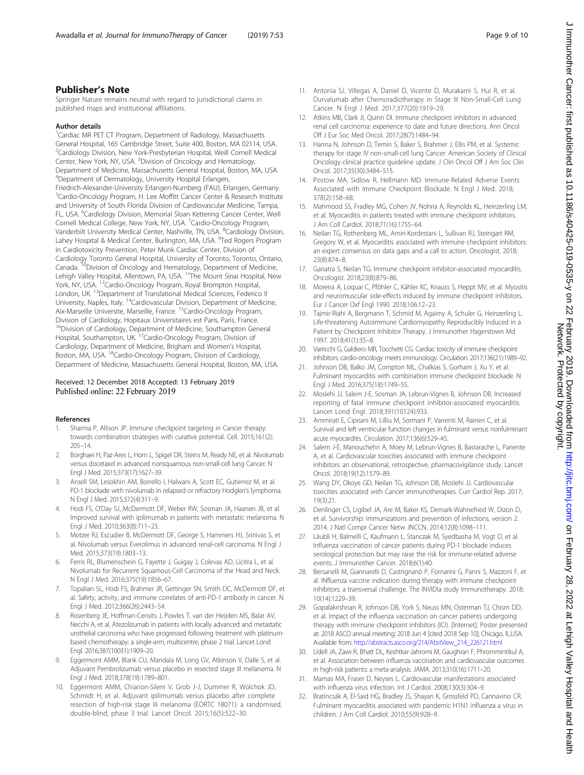<span id="page-10-0"></span>Springer Nature remains neutral with regard to jurisdictional claims in published maps and institutional affiliations.

#### Author details

<sup>1</sup>Cardiac MR PET CT Program, Department of Radiology, Massachusetts General Hospital, 165 Cambridge Street, Suite 400, Boston, MA 02114, USA. <sup>2</sup>Cardiology Division, New York-Presbyterian Hospital, Weill Cornell Medical Center, New York, NY, USA. <sup>3</sup> Division of Oncology and Hematology, Department of Medicine, Massachusetts General Hospital, Boston, MA, USA. 4 Department of Dermatology, University Hospital Erlangen, Friedrich-Alexander-University Erlangen-Nurnberg (FAU), Erlangen, Germany. <sup>5</sup>Cardio-Oncology Program, H. Lee Moffitt Cancer Center & Research Institute and University of South Florida Division of Cardiovascular Medicine, Tampa, FL, USA. <sup>6</sup>Cardiology Division, Memorial Sloan Kettering Cancer Center, Weill Cornell Medical College, New York, NY, USA. <sup>7</sup>Cardio-Oncology Program, Vanderbilt University Medical Center, Nashville, TN, USA. <sup>8</sup>Cardiology Division, Lahey Hospital & Medical Center, Burlington, MA, USA. <sup>9</sup>Ted Rogers Program in Cardiotoxicity Prevention, Peter Munk Cardiac Center, Division of Cardiology Toronto General Hospital, University of Toronto, Toronto, Ontario, Canada. <sup>10</sup>Division of Oncology and Hematology, Department of Medicine, Lehigh Valley Hospital, Allentown, PA, USA. <sup>11</sup>The Mount Sinai Hospital, New York, NY, USA. <sup>12</sup>Cardio-Oncology Program, Royal Brompton Hospital, London, UK. <sup>13</sup>Department of Translational Medical Sciences, Federico II University, Naples, Italy. 14Cardiovascular Division, Department of Medicine, Aix-Marseille Universite, Marseille, France. 15Cardio-Oncology Program, Division of Cardiology, Hopitaux Universitaires est Paris, Paris, France. <sup>16</sup>Division of Cardiology, Department of Medicine, Southampton General Hospital, Southampton, UK. 17Cardio-Oncology Program, Division of Cardiology, Department of Medicine, Brigham and Women's Hospital, Boston, MA, USA. <sup>18</sup>Cardio-Oncology Program, Division of Cardiology, Department of Medicine, Massachusetts General Hospital, Boston, MA, USA.

#### Received: 12 December 2018 Accepted: 13 February 2019 Published online: 22 February 2019

#### References

- Sharma P, Allison JP. Immune checkpoint targeting in Cancer therapy: towards combination strategies with curative potential. Cell. 2015;161(2): 205–14.
- 2. Borghaei H, Paz-Ares L, Horn L, Spigel DR, Steins M, Ready NE, et al. Nivolumab versus docetaxel in advanced nonsquamous non-small-cell lung Cancer. N Engl J Med. 2015;373(17):1627–39.
- 3. Ansell SM, Lesokhin AM, Borrello I, Halwani A, Scott EC, Gutierrez M, et al. PD-1 blockade with nivolumab in relapsed or refractory Hodgkin's lymphoma. N Engl J Med. 2015;372(4):311–9.
- 4. Hodi FS, O'Day SJ, McDermott DF, Weber RW, Sosman JA, Haanen JB, et al. Improved survival with ipilimumab in patients with metastatic melanoma. N Engl J Med. 2010;363(8):711–23.
- 5. Motzer RJ, Escudier B, McDermott DF, George S, Hammers HJ, Srinivas S, et al. Nivolumab versus Everolimus in advanced renal-cell carcinoma. N Engl J Med. 2015;373(19):1803–13.
- 6. Ferris RL, Blumenschein G, Fayette J, Guigay J, Colevas AD, Licitra L, et al. Nivolumab for Recurrent Squamous-Cell Carcinoma of the Head and Neck. N Engl J Med. 2016;375(19):1856–67.
- 7. Topalian SL, Hodi FS, Brahmer JR, Gettinger SN, Smith DC, McDermott DF, et al. Safety, activity, and immune correlates of anti-PD-1 antibody in cancer. N Engl J Med. 2012;366(26):2443–54.
- 8. Rosenberg JE, Hoffman-Censits J, Powles T, van der Heijden MS, Balar AV, Necchi A, et al. Atezolizumab in patients with locally advanced and metastatic urothelial carcinoma who have progressed following treatment with platinumbased chemotherapy: a single-arm, multicentre, phase 2 trial. Lancet Lond Engl. 2016;387(10031):1909–20.
- Eggermont AMM, Blank CU, Mandala M, Long GV, Atkinson V, Dalle S, et al. Adjuvant Pembrolizumab versus placebo in resected stage III melanoma. N Engl J Med. 2018;378(19):1789–801.
- 10. Eggermont AMM, Chiarion-Sileni V, Grob J-J, Dummer R, Wolchok JD, Schmidt H, et al. Adjuvant ipilimumab versus placebo after complete resection of high-risk stage III melanoma (EORTC 18071): a randomised, double-blind, phase 3 trial. Lancet Oncol. 2015;16(5):522–30.
- 11. Antonia SJ, Villegas A, Daniel D, Vicente D, Murakami S, Hui R, et al. Durvalumab after Chemoradiotherapy in Stage III Non-Small-Cell Lung Cancer. N Engl J Med. 2017;377(20):1919–29.
- 12. Atkins MB, Clark JI, Quinn DI. Immune checkpoint inhibitors in advanced renal cell carcinoma: experience to date and future directions. Ann Oncol Off J Eur Soc Med Oncol. 2017;28(7):1484–94.
- 13. Hanna N, Johnson D, Temin S, Baker S, Brahmer J, Ellis PM, et al. Systemic therapy for stage IV non-small-cell lung Cancer: American Society of Clinical Oncology clinical practice guideline update. J Clin Oncol Off J Am Soc Clin Oncol. 2017;35(30):3484–515.
- 14. Postow MA, Sidlow R, Hellmann MD. Immune-Related Adverse Events Associated with Immune Checkpoint Blockade. N Engl J Med. 2018: 378(2):158–68.
- 15. Mahmood SS, Fradley MG, Cohen JV, Nohria A, Reynolds KL, Heinzerling LM, et al. Myocarditis in patients treated with immune checkpoint inhibitors. J Am Coll Cardiol. 2018;71(16):1755–64.
- 16. Neilan TG, Rothenberg ML, Amiri-Kordestani L, Sullivan RJ, Steingart RM, Gregory W, et al. Myocarditis associated with immune checkpoint inhibitors: an expert consensus on data gaps and a call to action. Oncologist. 2018; 23(8):874–8.
- 17. Ganatra S, Neilan TG. Immune checkpoint inhibitor-associated myocarditis. Oncologist. 2018;23(8):879–86.
- 18. Moreira A, Loquai C, Pföhler C, Kähler KC, Knauss S, Heppt MV, et al. Myositis and neuromuscular side-effects induced by immune checkpoint inhibitors. Eur J Cancer Oxf Engl 1990. 2018;106:12–23.
- 19. Tajmir-Riahi A, Bergmann T, Schmid M, Agaimy A, Schuler G, Heinzerling L. Life-threatening Autoimmune Cardiomyopathy Reproducibly Induced in a Patient by Checkpoint Inhibitor Therapy. J Immunother Hagerstown Md 1997. 2018;41(1):35–8.
- 20. Varricchi G, Galdiero MR, Tocchetti CG. Cardiac toxicity of immune checkpoint inhibitors: cardio-oncology meets immunology. Circulation. 2017;136(21):1989–92.
- 21. Johnson DB, Balko JM, Compton ML, Chalkias S, Gorham J, Xu Y, et al. Fulminant myocarditis with combination immune checkpoint blockade. N Engl J Med. 2016;375(18):1749–55.
- 22. Moslehi JJ, Salem J-E, Sosman JA, Lebrun-Vignes B, Johnson DB. Increased reporting of fatal immune checkpoint inhibitor-associated myocarditis. Lancet Lond Engl. 2018;391(10124):933.
- 23. Ammirati E, Cipriani M, Lilliu M, Sormani P, Varrenti M, Raineri C, et al. Survival and left ventricular function changes in fulminant versus nonfulminant acute myocarditis. Circulation. 2017;136(6):529–45.
- 24. Salem J-E, Manouchehri A, Moey M, Lebrun-Vignes B, Bastarache L, Pariente A, et al. Cardiovascular toxicities associated with immune checkpoint inhibitors: an observational, retrospective, pharmacovigilance study. Lancet Oncol. 2018;19(12):1579–89.
- 25. Wang DY, Okoye GD, Neilan TG, Johnson DB, Moslehi JJ. Cardiovascular toxicities associated with Cancer immunotherapies. Curr Cardiol Rep. 2017; 19(3):21.
- 26. Denlinger CS, Ligibel JA, Are M, Baker KS, Demark-Wahnefried W, Dizon D, et al. Survivorship: immunizations and prevention of infections, version 2. 2014. J Natl Compr Cancer Netw JNCCN. 2014;12(8):1098–111.
- 27. Läubli H, Balmelli C, Kaufmann L, Stanczak M, Syedbasha M, Vogt D, et al. Influenza vaccination of cancer patients during PD-1 blockade induces serological protection but may raise the risk for immune-related adverse events. J Immunother Cancer. 2018;6(1):40.
- 28. Bersanelli M, Giannarelli D, Castrignanò P, Fornarini G, Panni S, Mazzoni F, et al. INfluenza vaccine indication during therapy with immune checkpoint inhibitors: a transversal challenge. The INVIDIa study Immunotherapy. 2018; 10(14):1229–39.
- 29. Gopalakrishnan R, Johnson DB, York S, Neuss MN, Osterman TJ, Chism DD, et al. Impact of the influenza vaccination on cancer patients undergoing therapy with immune checkpoint inhibitors (ICI). [Internet]. Poster presented at: 2018 ASCO annual meeting; 2018 Jun 4 [cited 2018 Sep 10]; Chicago, IL,USA. Available from: [http://abstracts.asco.org/214/AbstView\\_214\\_226121.html](http://abstracts.asco.org/214/AbstView_214_226121.html)
- 30. Udell JA, Zawi R, Bhatt DL, Keshtkar-Jahromi M, Gaughran F, Phrommintikul A, et al. Association between influenza vaccination and cardiovascular outcomes in high-risk patients: a meta-analysis. JAMA. 2013;310(16):1711–20.
- 31. Mamas MA, Fraser D, Neyses L. Cardiovascular manifestations associated with influenza virus infection. Int J Cardiol. 2008;130(3):304–9.
- 32. Bratincsák A, El-Said HG, Bradley JS, Shayan K, Grossfeld PD, Cannavino CR. Fulminant myocarditis associated with pandemic H1N1 influenza a virus in children. J Am Coll Cardiol. 2010;55(9):928–9.